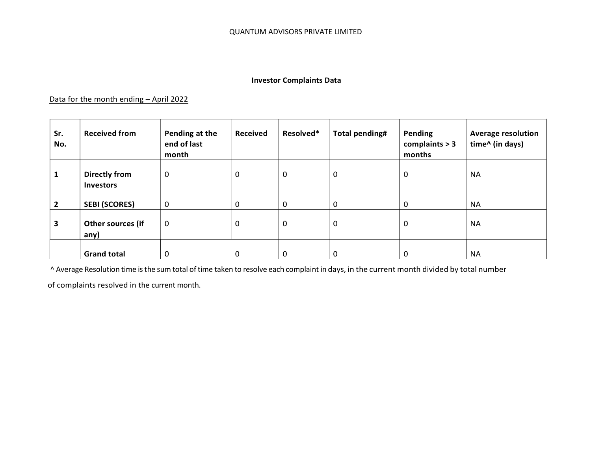## Investor Complaints Data

## Data for the month ending - April 2022

| Sr.<br>No.     | <b>Received from</b>                     | Pending at the<br>end of last<br>month | <b>Received</b> | Resolved* | <b>Total pending#</b> | Pending<br>complaints $> 3$<br>months | <b>Average resolution</b><br>time^ (in days) |
|----------------|------------------------------------------|----------------------------------------|-----------------|-----------|-----------------------|---------------------------------------|----------------------------------------------|
| 1              | <b>Directly from</b><br><b>Investors</b> | $\mathbf 0$                            | 0               | 0         | 0                     | 0                                     | <b>NA</b>                                    |
| $\overline{2}$ | <b>SEBI (SCORES)</b>                     | $\mathbf 0$                            | 0               | 0         | $\mathbf 0$           | 0                                     | <b>NA</b>                                    |
| 3              | Other sources (if<br>any)                | 0                                      | 0               | 0         | $\mathbf 0$           | 0                                     | <b>NA</b>                                    |
|                | <b>Grand total</b>                       | 0                                      | 0               | 0         | $\overline{0}$        | 0                                     | <b>NA</b>                                    |

^ Average Resolution time is the sum total of time taken to resolve each complaint in days, in the current month divided by total number

of complaints resolved in the current month.